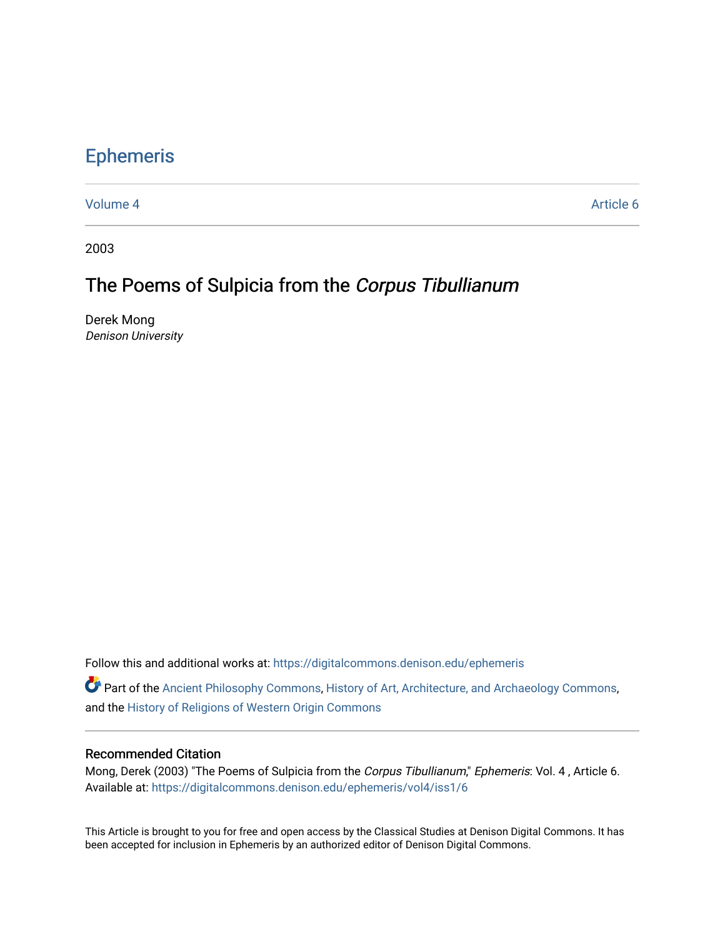# [Ephemeris](https://digitalcommons.denison.edu/ephemeris)

[Volume 4](https://digitalcommons.denison.edu/ephemeris/vol4) Article 6

2003

# The Poems of Sulpicia from the Corpus Tibullianum

Derek Mong Denison University

Follow this and additional works at: [https://digitalcommons.denison.edu/ephemeris](https://digitalcommons.denison.edu/ephemeris?utm_source=digitalcommons.denison.edu%2Fephemeris%2Fvol4%2Fiss1%2F6&utm_medium=PDF&utm_campaign=PDFCoverPages) 

**P** Part of the [Ancient Philosophy Commons](http://network.bepress.com/hgg/discipline/448?utm_source=digitalcommons.denison.edu%2Fephemeris%2Fvol4%2Fiss1%2F6&utm_medium=PDF&utm_campaign=PDFCoverPages), [History of Art, Architecture, and Archaeology Commons](http://network.bepress.com/hgg/discipline/510?utm_source=digitalcommons.denison.edu%2Fephemeris%2Fvol4%2Fiss1%2F6&utm_medium=PDF&utm_campaign=PDFCoverPages), and the [History of Religions of Western Origin Commons](http://network.bepress.com/hgg/discipline/542?utm_source=digitalcommons.denison.edu%2Fephemeris%2Fvol4%2Fiss1%2F6&utm_medium=PDF&utm_campaign=PDFCoverPages)

## Recommended Citation

Mong, Derek (2003) "The Poems of Sulpicia from the Corpus Tibullianum," Ephemeris: Vol. 4 , Article 6. Available at: [https://digitalcommons.denison.edu/ephemeris/vol4/iss1/6](https://digitalcommons.denison.edu/ephemeris/vol4/iss1/6?utm_source=digitalcommons.denison.edu%2Fephemeris%2Fvol4%2Fiss1%2F6&utm_medium=PDF&utm_campaign=PDFCoverPages)

This Article is brought to you for free and open access by the Classical Studies at Denison Digital Commons. It has been accepted for inclusion in Ephemeris by an authorized editor of Denison Digital Commons.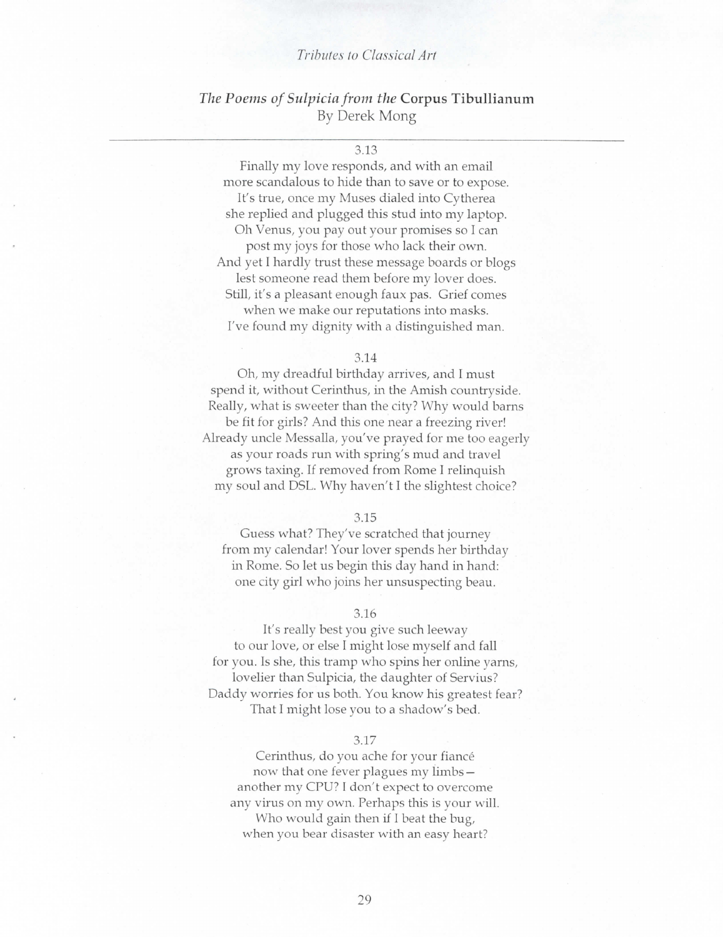## *Tributes to Classical Art*

# *The Poems of Sulpicia from the* Corpus Tibullianum By Derek Mong

3.13

Finally my love responds, and with an email more scandalous to hide than to save or to expose. It's true, once my Muses dialed into Cytherea she replied and plugged this stud into my laptop. Oh Venus, you pay out your promises so I can post my joys for those who lack their own. And yet I hardly trust these message boards or blogs lest someone read them before my lover does. Still, it's a pleasant enough faux pas. Grief comes when we make our reputations into masks. I've found my dignity with *a* distinguished man.

#### 3.14

Oh, my dreadful birthday arrives, and I must spend it, without Cerinthus, in the Amish countryside. Really, what is sweeter than the city? Why would barns be fit for girls? And this one near a freezing river! Already uncle Messalla, you've prayed for me too eagerly as your roads run with spring's mud and travel grows taxing. If removed from Rome I relinquish my soul and DSL. Why haven't I the slightest choice?

#### 3.15

Guess what? They've scratched that journey from my calendar! Your lover spends her birthday in Rome. So let us begin this day hand in hand: one city girl who joins her unsuspecting beau.

#### 3.16

It's really best you give such leeway to our love, or else I might lose myself and fall for you. Is she, this tramp who spins her online yarns, lovelier than Sulpicia, the daughter of Servius? Daddy worries for us both. You know his greatest fear? That I might lose you to a shadow's bed.

#### 3.17

Cerinthus, do you ache for your fiance now that one fever plagues my limbs another my CPU? I don't expect to overcome any virus on my own. Perhaps this is your will. Who would gain then if I beat the bug, when you bear disaster with an easy heart?